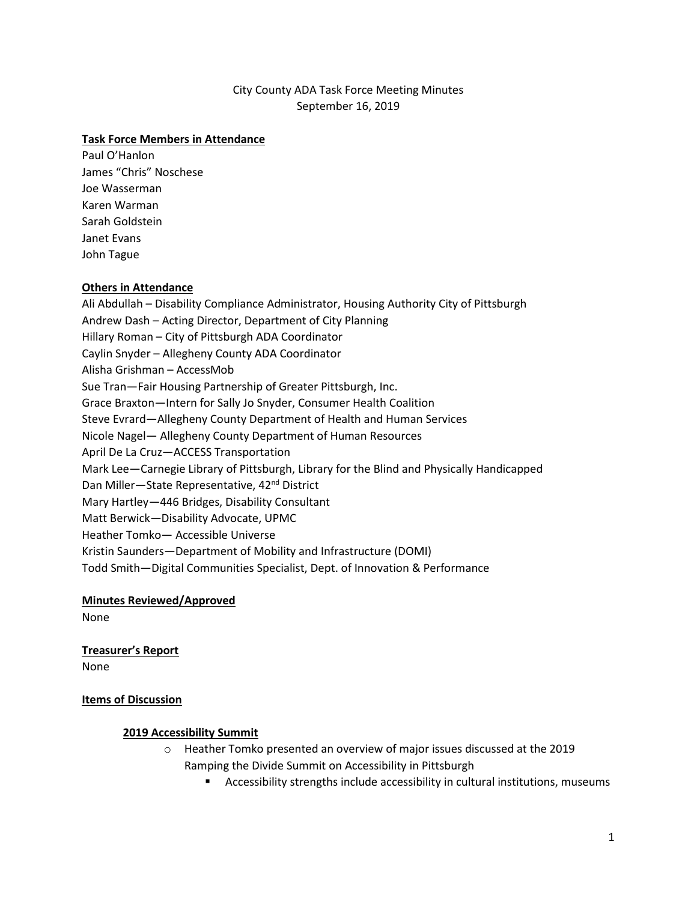# City County ADA Task Force Meeting Minutes September 16, 2019

#### **Task Force Members in Attendance**

Paul O'Hanlon James "Chris" Noschese Joe Wasserman Karen Warman Sarah Goldstein Janet Evans John Tague

#### **Others in Attendance**

Ali Abdullah – Disability Compliance Administrator, Housing Authority City of Pittsburgh Andrew Dash – Acting Director, Department of City Planning Hillary Roman – City of Pittsburgh ADA Coordinator Caylin Snyder – Allegheny County ADA Coordinator Alisha Grishman – AccessMob Sue Tran—Fair Housing Partnership of Greater Pittsburgh, Inc. Grace Braxton—Intern for Sally Jo Snyder, Consumer Health Coalition Steve Evrard—Allegheny County Department of Health and Human Services Nicole Nagel— Allegheny County Department of Human Resources April De La Cruz—ACCESS Transportation Mark Lee—Carnegie Library of Pittsburgh, Library for the Blind and Physically Handicapped Dan Miller-State Representative, 42<sup>nd</sup> District Mary Hartley—446 Bridges, Disability Consultant Matt Berwick—Disability Advocate, UPMC Heather Tomko— Accessible Universe Kristin Saunders—Department of Mobility and Infrastructure (DOMI) Todd Smith—Digital Communities Specialist, Dept. of Innovation & Performance

**Minutes Reviewed/Approved** None

# **Treasurer's Report**

None

#### **Items of Discussion**

## **2019 Accessibility Summit**

- o Heather Tomko presented an overview of major issues discussed at the 2019 Ramping the Divide Summit on Accessibility in Pittsburgh
	- Accessibility strengths include accessibility in cultural institutions, museums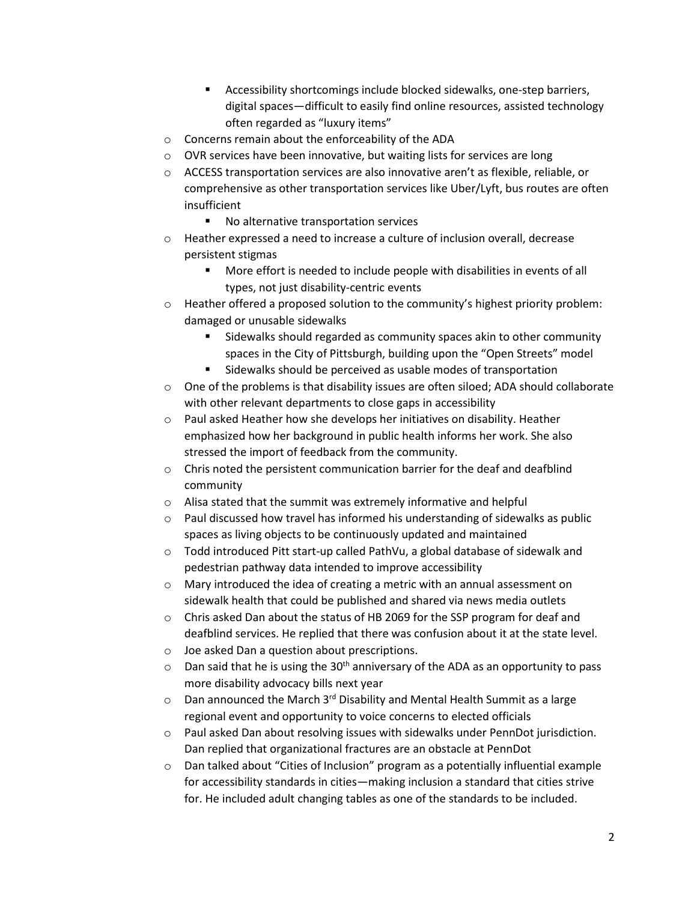- Accessibility shortcomings include blocked sidewalks, one-step barriers, digital spaces—difficult to easily find online resources, assisted technology often regarded as "luxury items"
- o Concerns remain about the enforceability of the ADA
- o OVR services have been innovative, but waiting lists for services are long
- o ACCESS transportation services are also innovative aren't as flexible, reliable, or comprehensive as other transportation services like Uber/Lyft, bus routes are often insufficient
	- No alternative transportation services
- o Heather expressed a need to increase a culture of inclusion overall, decrease persistent stigmas
	- More effort is needed to include people with disabilities in events of all types, not just disability-centric events
- $\circ$  Heather offered a proposed solution to the community's highest priority problem: damaged or unusable sidewalks
	- **Sidewalks should regarded as community spaces akin to other community** spaces in the City of Pittsburgh, building upon the "Open Streets" model
	- **Sidewalks should be perceived as usable modes of transportation**
- $\circ$  One of the problems is that disability issues are often siloed; ADA should collaborate with other relevant departments to close gaps in accessibility
- o Paul asked Heather how she develops her initiatives on disability. Heather emphasized how her background in public health informs her work. She also stressed the import of feedback from the community.
- $\circ$  Chris noted the persistent communication barrier for the deaf and deafblind community
- o Alisa stated that the summit was extremely informative and helpful
- $\circ$  Paul discussed how travel has informed his understanding of sidewalks as public spaces as living objects to be continuously updated and maintained
- $\circ$  Todd introduced Pitt start-up called PathVu, a global database of sidewalk and pedestrian pathway data intended to improve accessibility
- $\circ$  Mary introduced the idea of creating a metric with an annual assessment on sidewalk health that could be published and shared via news media outlets
- o Chris asked Dan about the status of HB 2069 for the SSP program for deaf and deafblind services. He replied that there was confusion about it at the state level.
- o Joe asked Dan a question about prescriptions.
- $\circ$  Dan said that he is using the 30<sup>th</sup> anniversary of the ADA as an opportunity to pass more disability advocacy bills next year
- $\circ$  Dan announced the March 3<sup>rd</sup> Disability and Mental Health Summit as a large regional event and opportunity to voice concerns to elected officials
- $\circ$  Paul asked Dan about resolving issues with sidewalks under PennDot jurisdiction. Dan replied that organizational fractures are an obstacle at PennDot
- $\circ$  Dan talked about "Cities of Inclusion" program as a potentially influential example for accessibility standards in cities—making inclusion a standard that cities strive for. He included adult changing tables as one of the standards to be included.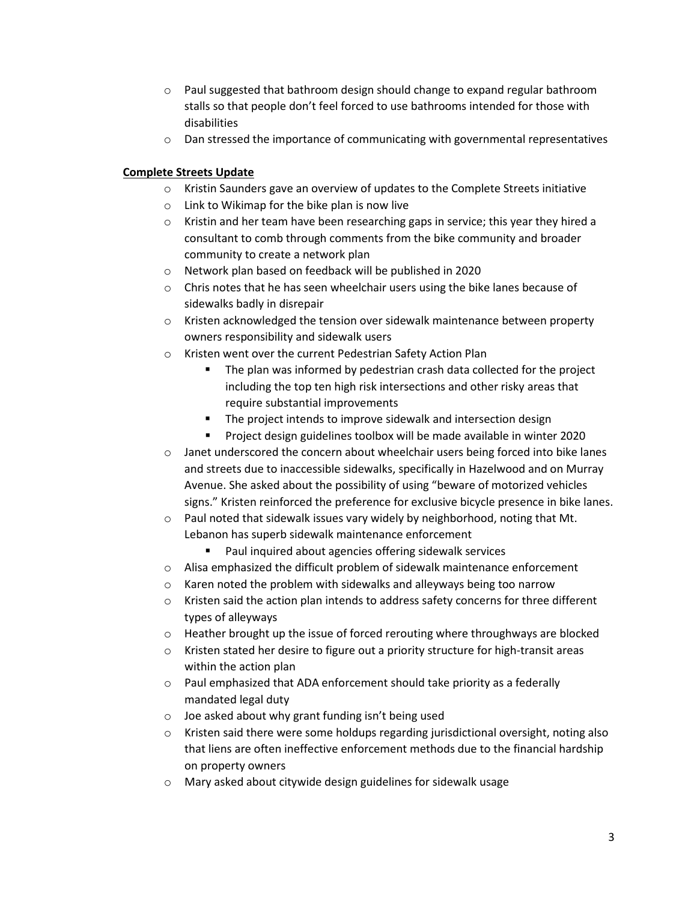- $\circ$  Paul suggested that bathroom design should change to expand regular bathroom stalls so that people don't feel forced to use bathrooms intended for those with disabilities
- $\circ$  Dan stressed the importance of communicating with governmental representatives

# **Complete Streets Update**

- $\circ$  Kristin Saunders gave an overview of updates to the Complete Streets initiative
- o Link to Wikimap for the bike plan is now live
- $\circ$  Kristin and her team have been researching gaps in service; this year they hired a consultant to comb through comments from the bike community and broader community to create a network plan
- o Network plan based on feedback will be published in 2020
- o Chris notes that he has seen wheelchair users using the bike lanes because of sidewalks badly in disrepair
- $\circ$  Kristen acknowledged the tension over sidewalk maintenance between property owners responsibility and sidewalk users
- o Kristen went over the current Pedestrian Safety Action Plan
	- The plan was informed by pedestrian crash data collected for the project including the top ten high risk intersections and other risky areas that require substantial improvements
	- **The project intends to improve sidewalk and intersection design**
	- Project design guidelines toolbox will be made available in winter 2020
- $\circ$  Janet underscored the concern about wheelchair users being forced into bike lanes and streets due to inaccessible sidewalks, specifically in Hazelwood and on Murray Avenue. She asked about the possibility of using "beware of motorized vehicles signs." Kristen reinforced the preference for exclusive bicycle presence in bike lanes.
- o Paul noted that sidewalk issues vary widely by neighborhood, noting that Mt. Lebanon has superb sidewalk maintenance enforcement
	- Paul inquired about agencies offering sidewalk services
- $\circ$  Alisa emphasized the difficult problem of sidewalk maintenance enforcement
- o Karen noted the problem with sidewalks and alleyways being too narrow
- $\circ$  Kristen said the action plan intends to address safety concerns for three different types of alleyways
- $\circ$  Heather brought up the issue of forced rerouting where throughways are blocked
- o Kristen stated her desire to figure out a priority structure for high-transit areas within the action plan
- $\circ$  Paul emphasized that ADA enforcement should take priority as a federally mandated legal duty
- o Joe asked about why grant funding isn't being used
- $\circ$  Kristen said there were some holdups regarding jurisdictional oversight, noting also that liens are often ineffective enforcement methods due to the financial hardship on property owners
- o Mary asked about citywide design guidelines for sidewalk usage